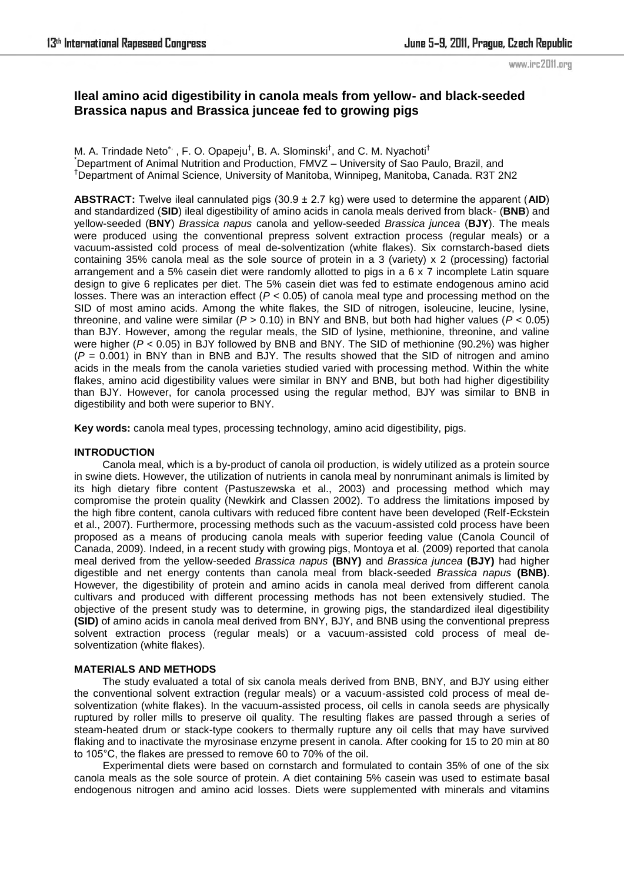# **Ileal amino acid digestibility in canola meals from yellow- and black-seeded Brassica napus and Brassica junceae fed to growing pigs**

M. A. Trindade Neto<sup>\*,</sup> , F. O. Opapeju<sup>†</sup>, B. A. Slominski<sup>†</sup>, and C. M. Nyachoti<sup>†</sup> \*Department of Animal Nutrition and Production, FMVZ – University of Sao Paulo, Brazil, and †Department of Animal Science, University of Manitoba, Winnipeg, Manitoba, Canada. R3T 2N2

**ABSTRACT:** Twelve ileal cannulated pigs (30.9 ± 2.7 kg) were used to determine the apparent (**AID**) and standardized (**SID**) ileal digestibility of amino acids in canola meals derived from black- (**BNB**) and yellow-seeded (**BNY**) *Brassica napus* canola and yellow-seeded *Brassica juncea* (**BJY**). The meals were produced using the conventional prepress solvent extraction process (regular meals) or a vacuum-assisted cold process of meal de-solventization (white flakes). Six cornstarch-based diets containing 35% canola meal as the sole source of protein in a 3 (variety) x 2 (processing) factorial arrangement and a 5% casein diet were randomly allotted to pigs in a 6 x 7 incomplete Latin square design to give 6 replicates per diet. The 5% casein diet was fed to estimate endogenous amino acid losses. There was an interaction effect (*P* < 0.05) of canola meal type and processing method on the SID of most amino acids. Among the white flakes, the SID of nitrogen, isoleucine, leucine, lysine, threonine, and valine were similar (*P* > 0.10) in BNY and BNB, but both had higher values (*P* < 0.05) than BJY. However, among the regular meals, the SID of lysine, methionine, threonine, and valine were higher (*P* < 0.05) in BJY followed by BNB and BNY. The SID of methionine (90.2%) was higher  $(P = 0.001)$  in BNY than in BNB and BJY. The results showed that the SID of nitrogen and amino acids in the meals from the canola varieties studied varied with processing method. Within the white flakes, amino acid digestibility values were similar in BNY and BNB, but both had higher digestibility than BJY. However, for canola processed using the regular method, BJY was similar to BNB in digestibility and both were superior to BNY.

**Key words:** canola meal types, processing technology, amino acid digestibility, pigs.

### **INTRODUCTION**

Canola meal, which is a by-product of canola oil production, is widely utilized as a protein source in swine diets. However, the utilization of nutrients in canola meal by nonruminant animals is limited by its high dietary fibre content (Pastuszewska et al., 2003) and processing method which may compromise the protein quality (Newkirk and Classen 2002). To address the limitations imposed by the high fibre content, canola cultivars with reduced fibre content have been developed (Relf-Eckstein et al., 2007). Furthermore, processing methods such as the vacuum-assisted cold process have been proposed as a means of producing canola meals with superior feeding value (Canola Council of Canada, 2009). Indeed, in a recent study with growing pigs, Montoya et al. (2009) reported that canola meal derived from the yellow-seeded *Brassica napus* **(BNY)** and *Brassica juncea* **(BJY)** had higher digestible and net energy contents than canola meal from black-seeded *Brassica napus* **(BNB)**. However, the digestibility of protein and amino acids in canola meal derived from different canola cultivars and produced with different processing methods has not been extensively studied. The objective of the present study was to determine, in growing pigs, the standardized ileal digestibility **(SID)** of amino acids in canola meal derived from BNY, BJY, and BNB using the conventional prepress solvent extraction process (regular meals) or a vacuum-assisted cold process of meal desolventization (white flakes).

### **MATERIALS AND METHODS**

The study evaluated a total of six canola meals derived from BNB, BNY, and BJY using either the conventional solvent extraction (regular meals) or a vacuum-assisted cold process of meal desolventization (white flakes). In the vacuum-assisted process, oil cells in canola seeds are physically ruptured by roller mills to preserve oil quality. The resulting flakes are passed through a series of steam-heated drum or stack-type cookers to thermally rupture any oil cells that may have survived flaking and to inactivate the myrosinase enzyme present in canola. After cooking for 15 to 20 min at 80 to 105°C, the flakes are pressed to remove 60 to 70% of the oil.

Experimental diets were based on cornstarch and formulated to contain 35% of one of the six canola meals as the sole source of protein. A diet containing 5% casein was used to estimate basal endogenous nitrogen and amino acid losses. Diets were supplemented with minerals and vitamins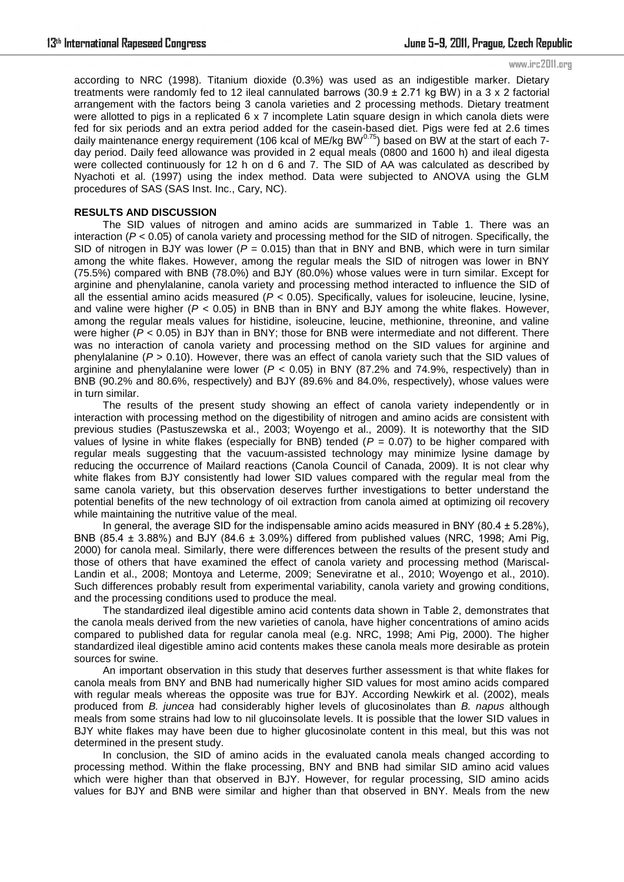#### www.irc2011.org

according to NRC (1998). Titanium dioxide (0.3%) was used as an indigestible marker. Dietary treatments were randomly fed to 12 ileal cannulated barrows (30.9  $\pm$  2.71 kg BW) in a 3 x 2 factorial arrangement with the factors being 3 canola varieties and 2 processing methods. Dietary treatment were allotted to pigs in a replicated 6 x 7 incomplete Latin square design in which canola diets were fed for six periods and an extra period added for the casein-based diet. Pigs were fed at 2.6 times Ted for six perfous and an extra perfour added for the statement. Excess also the start of each 7-<br>daily maintenance energy requirement (106 kcal of ME/kg BW<sup>0.75</sup>) based on BW at the start of each 7day period. Daily feed allowance was provided in 2 equal meals (0800 and 1600 h) and ileal digesta were collected continuously for 12 h on d 6 and 7. The SID of AA was calculated as described by Nyachoti et al. (1997) using the index method. Data were subjected to ANOVA using the GLM procedures of SAS (SAS Inst. Inc., Cary, NC).

## **RESULTS AND DISCUSSION**

The SID values of nitrogen and amino acids are summarized in Table 1. There was an interaction (*P* < 0.05) of canola variety and processing method for the SID of nitrogen. Specifically, the SID of nitrogen in BJY was lower ( $P = 0.015$ ) than that in BNY and BNB, which were in turn similar among the white flakes. However, among the regular meals the SID of nitrogen was lower in BNY (75.5%) compared with BNB (78.0%) and BJY (80.0%) whose values were in turn similar. Except for arginine and phenylalanine, canola variety and processing method interacted to influence the SID of all the essential amino acids measured (*P* < 0.05). Specifically, values for isoleucine, leucine, lysine, and valine were higher ( $P < 0.05$ ) in BNB than in BNY and BJY among the white flakes. However, among the regular meals values for histidine, isoleucine, leucine, methionine, threonine, and valine were higher (*P* < 0.05) in BJY than in BNY; those for BNB were intermediate and not different. There was no interaction of canola variety and processing method on the SID values for arginine and phenylalanine (*P* > 0.10). However, there was an effect of canola variety such that the SID values of arginine and phenylalanine were lower (*P* < 0.05) in BNY (87.2% and 74.9%, respectively) than in BNB (90.2% and 80.6%, respectively) and BJY (89.6% and 84.0%, respectively), whose values were in turn similar.

The results of the present study showing an effect of canola variety independently or in interaction with processing method on the digestibility of nitrogen and amino acids are consistent with previous studies (Pastuszewska et al., 2003; Woyengo et al., 2009). It is noteworthy that the SID values of lysine in white flakes (especially for BNB) tended (*P* = 0.07) to be higher compared with regular meals suggesting that the vacuum-assisted technology may minimize lysine damage by reducing the occurrence of Mailard reactions (Canola Council of Canada, 2009). It is not clear why white flakes from BJY consistently had lower SID values compared with the regular meal from the same canola variety, but this observation deserves further investigations to better understand the potential benefits of the new technology of oil extraction from canola aimed at optimizing oil recovery while maintaining the nutritive value of the meal.

In general, the average SID for the indispensable amino acids measured in BNY (80.4  $\pm$  5.28%), BNB (85.4  $\pm$  3.88%) and BJY (84.6  $\pm$  3.09%) differed from published values (NRC, 1998; Ami Pig, 2000) for canola meal. Similarly, there were differences between the results of the present study and those of others that have examined the effect of canola variety and processing method (Mariscal-Landin et al., 2008; Montoya and Leterme, 2009; Seneviratne et al., 2010; Woyengo et al., 2010). Such differences probably result from experimental variability, canola variety and growing conditions, and the processing conditions used to produce the meal.

The standardized ileal digestible amino acid contents data shown in Table 2, demonstrates that the canola meals derived from the new varieties of canola, have higher concentrations of amino acids compared to published data for regular canola meal (e.g. NRC, 1998; Ami Pig, 2000). The higher standardized ileal digestible amino acid contents makes these canola meals more desirable as protein sources for swine.

An important observation in this study that deserves further assessment is that white flakes for canola meals from BNY and BNB had numerically higher SID values for most amino acids compared with regular meals whereas the opposite was true for BJY. According Newkirk et al. (2002), meals produced from *B. juncea* had considerably higher levels of glucosinolates than *B. napus* although meals from some strains had low to nil glucoinsolate levels. It is possible that the lower SID values in BJY white flakes may have been due to higher glucosinolate content in this meal, but this was not determined in the present study.

In conclusion, the SID of amino acids in the evaluated canola meals changed according to processing method. Within the flake processing, BNY and BNB had similar SID amino acid values which were higher than that observed in BJY. However, for regular processing, SID amino acids values for BJY and BNB were similar and higher than that observed in BNY. Meals from the new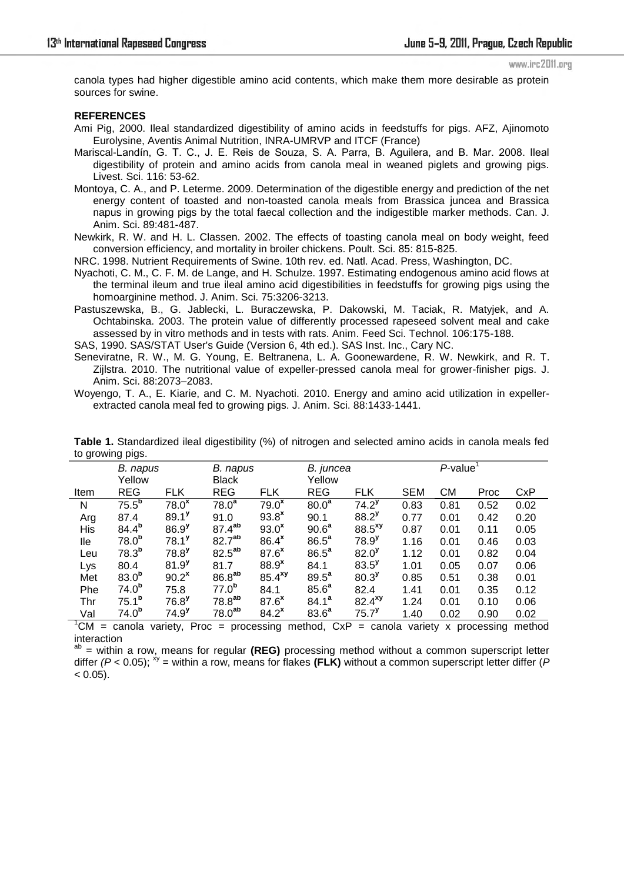www.irc2011.org

canola types had higher digestible amino acid contents, which make them more desirable as protein sources for swine.

### **REFERENCES**

- Ami Pig, 2000. Ileal standardized digestibility of amino acids in feedstuffs for pigs. AFZ, Ajinomoto Eurolysine, Aventis Animal Nutrition, INRA-UMRVP and ITCF (France)
- Mariscal-Landín, G. T. C., J. E. Reis de Souza, S. A. Parra, B. Aguilera, and B. Mar. 2008. Ileal digestibility of protein and amino acids from canola meal in weaned piglets and growing pigs. Livest. Sci. 116: 53-62.
- Montoya, C. A., and P. Leterme. 2009. Determination of the digestible energy and prediction of the net energy content of toasted and non-toasted canola meals from Brassica juncea and Brassica napus in growing pigs by the total faecal collection and the indigestible marker methods. Can. J. Anim. Sci. 89:481-487.
- Newkirk, R. W. and H. L. Classen. 2002. The effects of toasting canola meal on body weight, feed conversion efficiency, and mortality in broiler chickens. Poult. Sci. 85: 815-825.

NRC. 1998. Nutrient Requirements of Swine. 10th rev. ed. Natl. Acad. Press, Washington, DC.

- Nyachoti, C. M., C. F. M. de Lange, and H. Schulze. 1997. Estimating endogenous amino acid flows at the terminal ileum and true ileal amino acid digestibilities in feedstuffs for growing pigs using the homoarginine method. J. Anim. Sci. 75:3206-3213.
- Pastuszewska, B., G. Jablecki, L. Buraczewska, P. Dakowski, M. Taciak, R. Matyjek, and A. Ochtabinska. 2003. The protein value of differently processed rapeseed solvent meal and cake assessed by in vitro methods and in tests with rats. Anim. Feed Sci. Technol. 106:175-188.

SAS, 1990. SAS/STAT User's Guide (Version 6, 4th ed.). SAS Inst. Inc., Cary NC.

- Seneviratne, R. W., M. G. Young, E. Beltranena, L. A. Goonewardene, R. W. Newkirk, and R. T. Zijlstra. 2010. The nutritional value of expeller-pressed canola meal for grower-finisher pigs. J. Anim. Sci. 88:2073–2083.
- Woyengo, T. A., E. Kiarie, and C. M. Nyachoti. 2010. Energy and amino acid utilization in expellerextracted canola meal fed to growing pigs. J. Anim. Sci. 88:1433-1441.

| ישפיץ פיייייש שי |                   |                     |                    |                      |                   |                      |            |                         |      |            |
|------------------|-------------------|---------------------|--------------------|----------------------|-------------------|----------------------|------------|-------------------------|------|------------|
|                  | B. napus          |                     | B. napus           |                      | B. juncea         |                      |            | $P$ -value <sup>1</sup> |      |            |
|                  | Yellow            |                     | <b>Black</b>       |                      | Yellow            |                      |            |                         |      |            |
| Item             | <b>REG</b>        | <b>FLK</b>          | <b>REG</b>         | <b>FLK</b>           | <b>REG</b>        | <b>FLK</b>           | <b>SEM</b> | <b>CM</b>               | Proc | <b>CxP</b> |
| N                | 75.5 <sup>b</sup> | 78.0 <sup>x</sup>   | 78.0 <sup>a</sup>  | 79.0 <sup>x</sup>    | 80.0 <sup>a</sup> | $74.2^{\nu}$         | 0.83       | 0.81                    | 0.52 | 0.02       |
| Arg              | 87.4              | $89.1$ <sup>y</sup> | 91.0               | $93.8^x$             | 90.1              | $88.2^{y}$           | 0.77       | 0.01                    | 0.42 | 0.20       |
| His              | $84.4^{b}$        | 86.9 <sup>y</sup>   | $87.4^{ab}$        | $93.0^x$             | 90.6 <sup>a</sup> | $88.5$ <sup>xy</sup> | 0.87       | 0.01                    | 0.11 | 0.05       |
| lle              | 78.0 <sup>b</sup> | $78.1^y$            | 82.7 <sup>ab</sup> | 86.4 <sup>x</sup>    | 86.5 <sup>a</sup> | $78.9^{y}$           | 1.16       | 0.01                    | 0.46 | 0.03       |
| Leu              | 78.3 <sup>b</sup> | $78.8$ <sup>y</sup> | 82.5 <sup>ab</sup> | 87.6 <sup>x</sup>    | 86.5 <sup>a</sup> | $82.0^{y}$           | 1.12       | 0.01                    | 0.82 | 0.04       |
| Lys              | 80.4              | $81.9^{y}$          | 81.7               | 88.9 <sup>x</sup>    | 84.1              | $83.5^{\nu}$         | 1.01       | 0.05                    | 0.07 | 0.06       |
| Met              | 83.0 <sup>b</sup> | $90.2^{\text{x}}$   | 86.8 <sup>ab</sup> | $85.4$ <sup>xy</sup> | 89.5 <sup>a</sup> | $80.3^{y}$           | 0.85       | 0.51                    | 0.38 | 0.01       |
| Phe              | 74.0 <sup>b</sup> | 75.8                | $77.0^b$           | 84.1                 | 85.6 <sup>a</sup> | 82.4                 | 1.41       | 0.01                    | 0.35 | 0.12       |
| Thr              | $75.1^{\rm b}$    | $76.8$ <sup>y</sup> | 78.8 <sup>ab</sup> | 87.6 <sup>x</sup>    | 84.1 <sup>a</sup> | $82.4^{xy}$          | 1.24       | 0.01                    | 0.10 | 0.06       |
| Val              | 74.0 <sup>b</sup> | $74.9^{y}$          | 78.0 <sup>ab</sup> | $84.2^{\text{x}}$    | 83.6 <sup>a</sup> | $75.7$ <sup>y</sup>  | 1.40       | 0.02                    | 0.90 | 0.02       |
|                  |                   |                     |                    |                      |                   |                      |            |                         |      |            |

**Table 1.** Standardized ileal digestibility (%) of nitrogen and selected amino acids in canola meals fed to growing pigs.

 ${}^{1}$ CM = canola variety, Proc = processing method, CxP = canola variety x processing method interaction

ab = within a row, means for regular **(REG)** processing method without a common superscript letter differ  $(P < 0.05)$ ;  $\frac{N}{2}$  = within a row, means for flakes **(FLK)** without a common superscript letter differ (*P*  $< 0.05$ ).